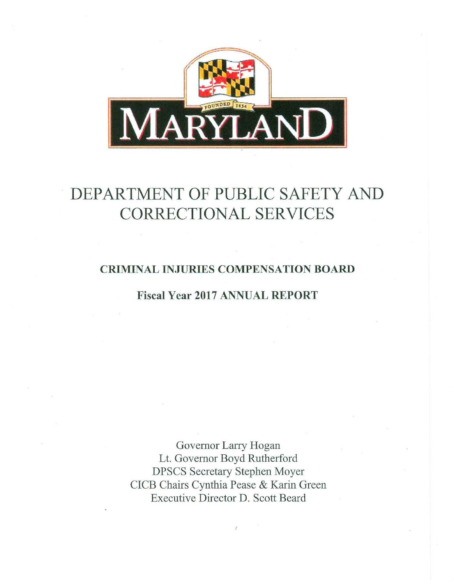

# **DEPARTMENT OF PUBLIC SAFETY AND CORRECTIONAL SERVICES**

**CRIMINAL INJURIES COMPENSATION BOARD** 

**Fiscal Year 2017 ANNUAL REPORT** 

Governor Larry Hogan Lt. Governor Boyd Rutherford DPSCS Secretary Stephen Moyer CICB Chairs Cynthia Pease & Karin Green Executive Director D. Scott Beard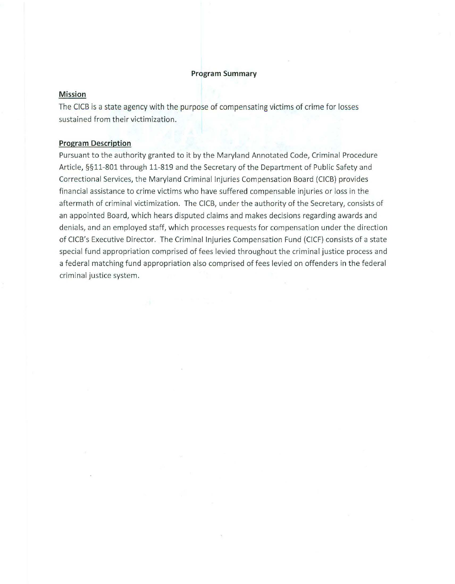#### **Program Summary**

# **Mission**

The CICB is a state agency with the purpose of compensating victims of crime for losses sustained from their victimization.

# **Program Description**

Pursuant to the authority granted to it by the Maryland Annotated Code, Criminal Procedure Article, §§11-801 through 11-819 and the Secretary of the Department of Public Safety and Correctional Services, the Maryland Criminal Injuries Compensation Board (CICB) provides financial assistance to crime victims who have suffered compensable injuries or loss in the aftermath of criminal victimization. The CICB, under the authority of the Secretary, consists of an appointed Board, which hears disputed claims and makes decisions regarding awards and denials, and an employed staff, which processes requests for compensation under the direction of CICB's Executive Director. The Criminal Injuries Compensation Fund (CICF) consists of a state special fund appropriation comprised of fees levied throughout the criminal justice process and a federal matching fund appropriation also comprised of fees levied on offenders in the federal criminal justice system.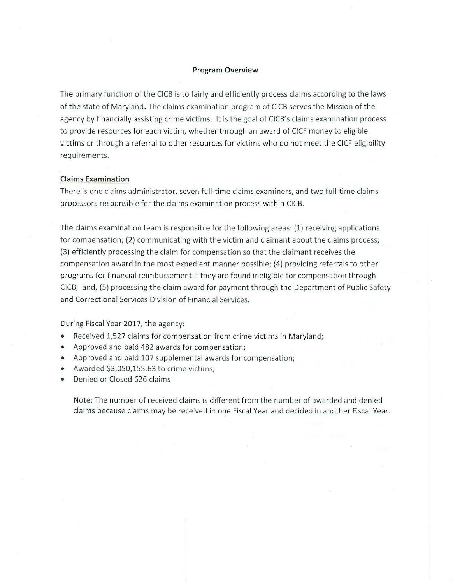# **Program Overview**

The primary function of the CICB is to fairly and efficiently process claims according to the laws of the state of Maryland. The claims examination program of CICB serves the Mission of the agency by financially assisting crime victims. It is the goal of CICB's claims examination process to provide resources for each victim, whether through an award of CICF money to eligible victims or through a referral to other resources for victims who do not meet the CICF eligibility requirements.

#### **Claims Examination**

There is one claims administrator, seven full-time claims examiners, and two full-time claims processors responsible for the claims examination process within CICB.

The claims examination team is responsible for the following areas: (1) receiving applications for compensation; (2) communicating with the victim and claimant about the claims process; (3) efficiently processing the claim for compensation so that the claimant receives the compensation award in the most expedient manner possible; (4) providing referrals to other programs for financial reimbursement if they are found ineligible for compensation through CICB; and, (5) processing the claim award for payment through the Department of Public Safety and Correctional Services Division of Financial Services.

During Fiscal Year 2017, the agency:

- Received 1,527 claims for compensation from crime victims in Maryland;
- Approved and paid 482 awards for compensation;
- Approved and paid 107 supplemental awards for compensation;
- Awarded \$3,050,155.63 to crime victims;
- Denied or Closed 626 claims

Note: The number of received claims is different from the number of awarded and denied claims because claims may be received in one Fiscal Year and decided in another Fiscal Year.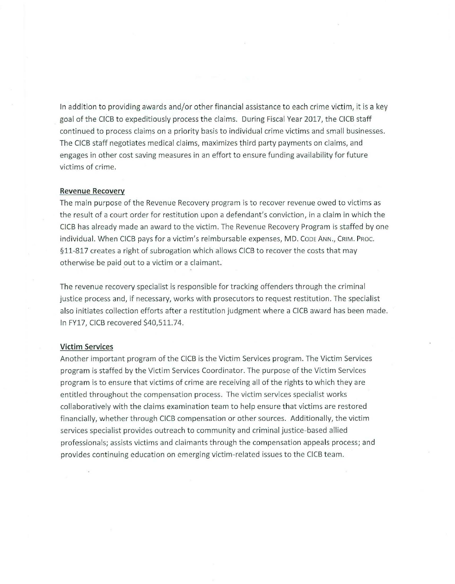In addition to providing awards and/or other financial assistance to each crime victim, it is a key goal of the CICB to expeditiously process the claims. During Fiscal Year 2017, the CICB staff continued to process claims on a priority basis to individual crime victims and small businesses. The CICB staff negotiates medical claims, maximizes third party payments on claims, and engages in other cost saving measures in an effort to ensure funding availability for future victims of crime.

# **Revenue Recovery**

The main purpose of the Revenue Recovery program is to recover revenue owed to victims as the result of a court order for restitution upon a defendant's conviction, in a claim in which the CICB has already made an award to the victim. The Revenue Recovery Program is staffed by one individual. When CICB pays for a victim's reimbursable expenses, MD. CODE ANN., CRIM. PROC. §11-817 creates a right of subrogation which allows CICB to recover the costs that may otherwise be paid out to a victim or a claimant.

The revenue recovery specialist is responsible for tracking offenders through the criminal justice process and, if necessary, works with prosecutors to request restitution. The specialist also initiates collection efforts after a restitution judgment where a CICB award has been made. In FY17, CICB recovered \$40,511.74.

# **Victim Services**

Another important program of the CICB is the Victim Services program. The Victim Services program is staffed by the Victim Services Coordinator. The purpose of the Victim Services program is to ensure that victims of crime are receiving all of the rights to which they are entitled throughout the compensation process. The victim services specialist works collaboratively with the claims examination team to help ensure that victims are restored financially, whether through CICB compensation or other sources. Additionally, the victim services specialist provides outreach to community and criminal justice-based allied professionals; assists victims and claimants through the compensation appeals process; and provides continuing education on emerging victim-related issues to the CICB team.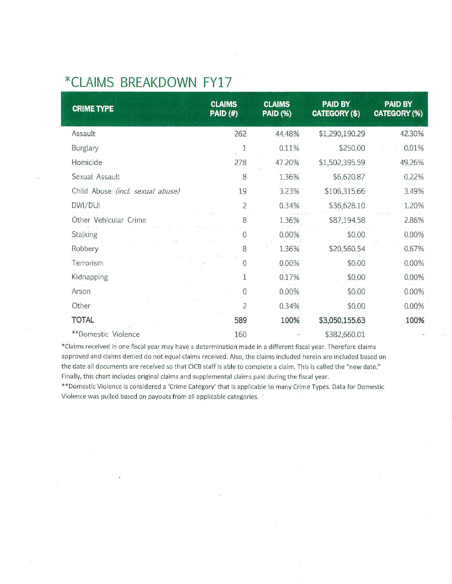# **\*CLAIMS BREAKDOWN FYl 7**

| <b>CRIME TYPE</b>                | <b>CLAIMS</b><br><b>PAID (#)</b> | <b>CLAIMS</b><br><b>PAID (%)</b> | <b>PAID BY</b><br><b>CATEGORY (\$)</b> | <b>PAID BY</b><br><b>CATEGORY (%)</b> |
|----------------------------------|----------------------------------|----------------------------------|----------------------------------------|---------------------------------------|
| Assault                          | 262                              | 44.48%                           | \$1,290,190.29                         | 42.30%                                |
| Burglary                         | 1                                | 0.11%                            | \$250.00                               | 0.01%                                 |
| Homicide                         | 278                              | 47.20%                           | \$1,502,395.59                         | 49.26%                                |
| Sexual Assault                   | 8                                | 1.36%                            | \$6,620.87                             | 0.22%                                 |
| Child Abuse (incl. sexual abuse) | 19                               | 3.23%                            | \$106,315.66                           | 3.49%                                 |
| DWI/DUI                          | $\overline{c}$                   | 0.34%                            | \$36,628.10                            | 1.20%                                 |
| Other Vehicular Crime            | 8                                | 1.36%                            | \$87,194.58                            | 2.86%                                 |
| Stalking                         | 0                                | 0.00%                            | \$0.00                                 | 0.00%                                 |
| Robbery                          | 8                                | 1.36%                            | \$20,560.54                            | 0.67%                                 |
| Terrorism                        | 0                                | 0.00%                            | \$0.00                                 | 0.00%                                 |
| Kidnapping                       | $\overline{1}$                   | 0.17%                            | \$0.00                                 | 0.00%                                 |
| Arson                            | $\overline{0}$                   | 0.00%                            | \$0.00                                 | 0.00%                                 |
| Other                            | $\overline{2}$                   | 0.34%                            | \$0.00                                 | 0.00%                                 |
| <b>TOTAL</b>                     | 589                              | 100%                             | \$3,050,155.63                         | 100%                                  |
| **Domestic Violence              | 160                              |                                  | \$382,660.01                           |                                       |

\*Claims received in one fiscal year may have a determination made in a different fiscal year. Therefore claims approved and claims denied do not equal claims received. Also, the claims included herein are included based on the date all documents are received so that CICB staff is able to complete a claim. This is called the "new date." Finally, this chart includes original claims and supplemental claims paid during the fiscal year.

\*\*Domestic Violence is considered a 'Crime Category' that is applicable to many Crime Types. Data for Domestic Violence was pulled based on payouts from all applicable categories.